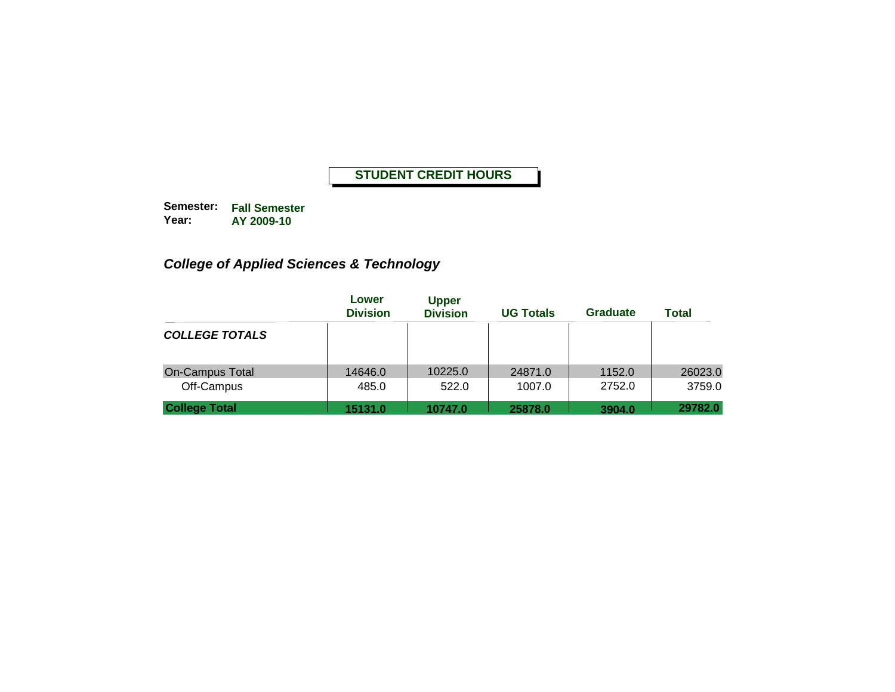**Semester: Fall Semester Year: AY 2009-10**

# *College of Applied Sciences & Technology*

|                        | Lower<br><b>Division</b> | <b>Upper</b><br><b>Division</b> | <b>UG Totals</b> | Graduate | <b>Total</b> |
|------------------------|--------------------------|---------------------------------|------------------|----------|--------------|
| <b>COLLEGE TOTALS</b>  |                          |                                 |                  |          |              |
| <b>On-Campus Total</b> | 14646.0                  | 10225.0                         | 24871.0          | 1152.0   | 26023.0      |
| Off-Campus             | 485.0                    | 522.0                           | 1007.0           | 2752.0   | 3759.0       |
| <b>College Total</b>   | 15131.0                  | 10747.0                         | 25878.0          | 3904.0   | 29782.0      |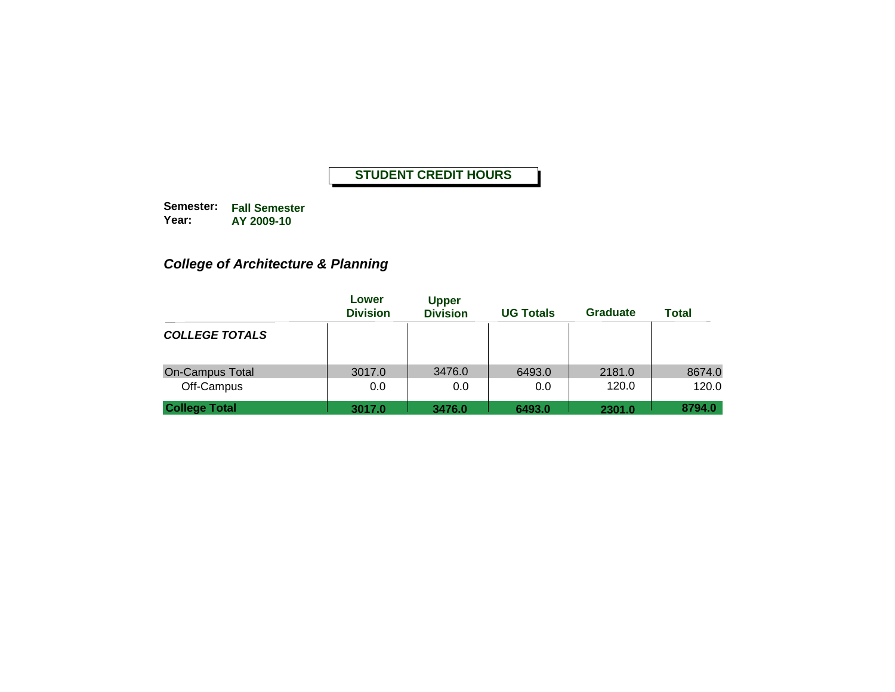**Semester: Fall Semester Year: AY 2009-10**

# *College of Architecture & Planning*

|                        | Lower<br><b>Division</b> | <b>Upper</b><br><b>Division</b> | <b>UG Totals</b> | Graduate | <b>Total</b> |
|------------------------|--------------------------|---------------------------------|------------------|----------|--------------|
| <b>COLLEGE TOTALS</b>  |                          |                                 |                  |          |              |
| <b>On-Campus Total</b> | 3017.0                   | 3476.0                          | 6493.0           | 2181.0   | 8674.0       |
| Off-Campus             | 0.0                      | 0.0                             | 0.0              | 120.0    | 120.0        |
| <b>College Total</b>   | 3017.0                   | 3476.0                          | 6493.0           | 2301.0   | 8794.0       |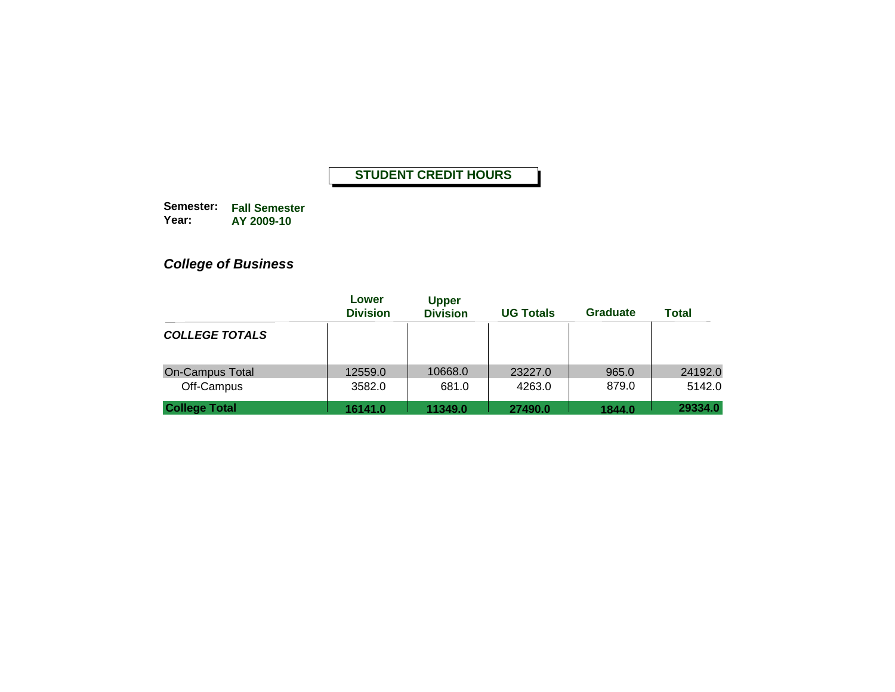**Semester: Fall Semester Year: AY 2009-10**

# *College of Business*

|                        | Lower<br><b>Division</b> | <b>Upper</b><br><b>Division</b> | <b>UG Totals</b> | <b>Graduate</b> | <b>Total</b> |
|------------------------|--------------------------|---------------------------------|------------------|-----------------|--------------|
| <b>COLLEGE TOTALS</b>  |                          |                                 |                  |                 |              |
| <b>On-Campus Total</b> | 12559.0                  | 10668.0                         | 23227.0          | 965.0           | 24192.0      |
| Off-Campus             | 3582.0                   | 681.0                           | 4263.0           | 879.0           | 5142.0       |
| <b>College Total</b>   | 16141.0                  | 11349.0                         | 27490.0          | 1844.0          | 29334.0      |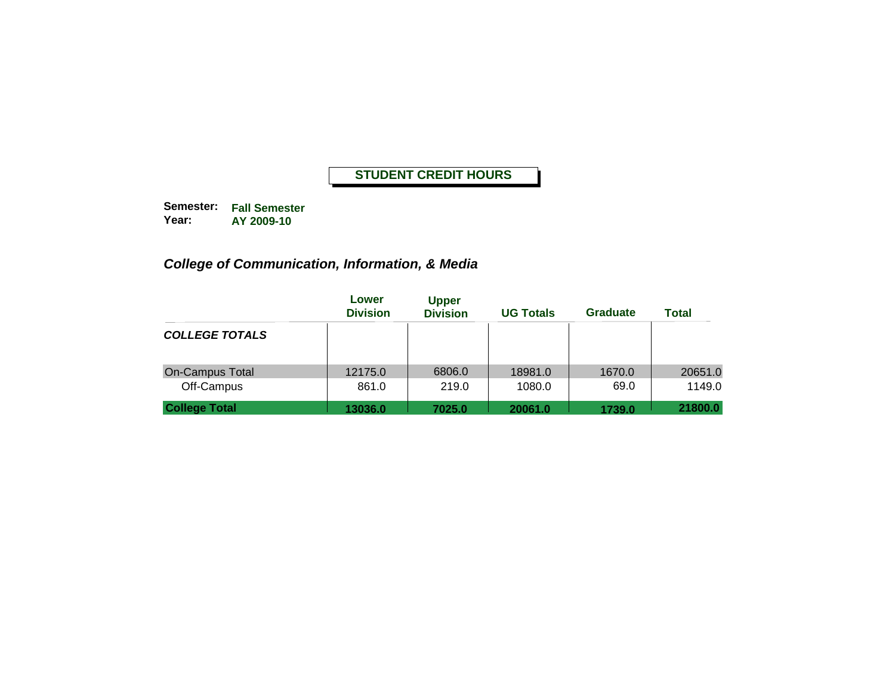**Semester: Fall Semester Year: AY 2009-10**

# *College of Communication, Information, & Media*

|                        | Lower<br><b>Division</b> | <b>Upper</b><br><b>Division</b> | <b>UG Totals</b> | <b>Graduate</b> | Total   |
|------------------------|--------------------------|---------------------------------|------------------|-----------------|---------|
| <b>COLLEGE TOTALS</b>  |                          |                                 |                  |                 |         |
| <b>On-Campus Total</b> | 12175.0                  | 6806.0                          | 18981.0          | 1670.0          | 20651.0 |
| Off-Campus             | 861.0                    | 219.0                           | 1080.0           | 69.0            | 1149.0  |
| <b>College Total</b>   | 13036.0                  | 7025.0                          | 20061.0          | 1739.0          | 21800.0 |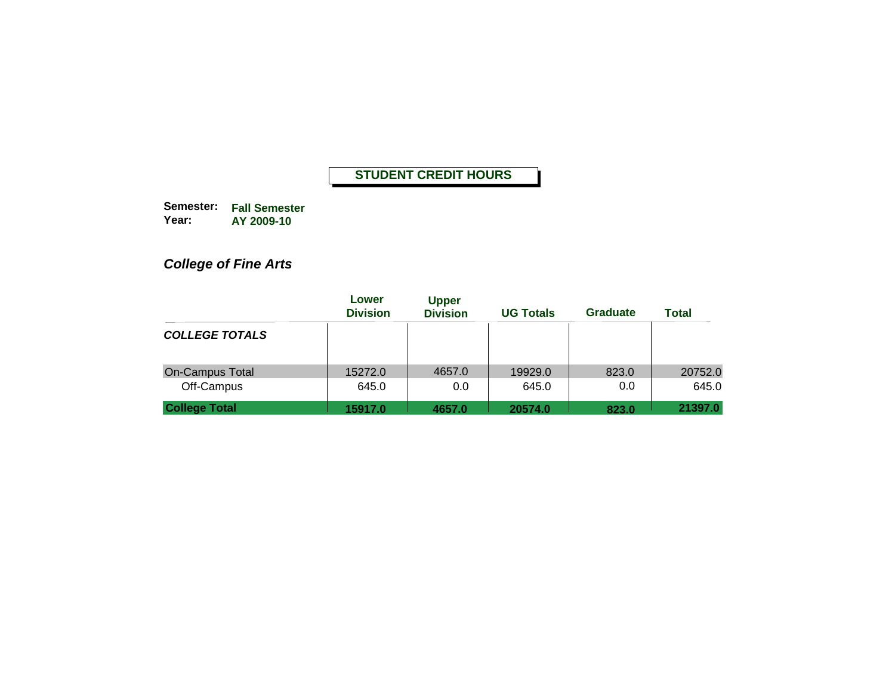**Semester: Fall Semester Year: AY 2009-10**

# *College of Fine Arts*

|                        | Lower<br><b>Division</b> | <b>Upper</b><br><b>Division</b> | <b>UG Totals</b> | <b>Graduate</b> | <b>Total</b> |
|------------------------|--------------------------|---------------------------------|------------------|-----------------|--------------|
| <b>COLLEGE TOTALS</b>  |                          |                                 |                  |                 |              |
| <b>On-Campus Total</b> | 15272.0                  | 4657.0                          | 19929.0          | 823.0           | 20752.0      |
| Off-Campus             | 645.0                    | 0.0                             | 645.0            | 0.0             | 645.0        |
| <b>College Total</b>   | 15917.0                  | 4657.0                          | 20574.0          | 823.0           | 21397.0      |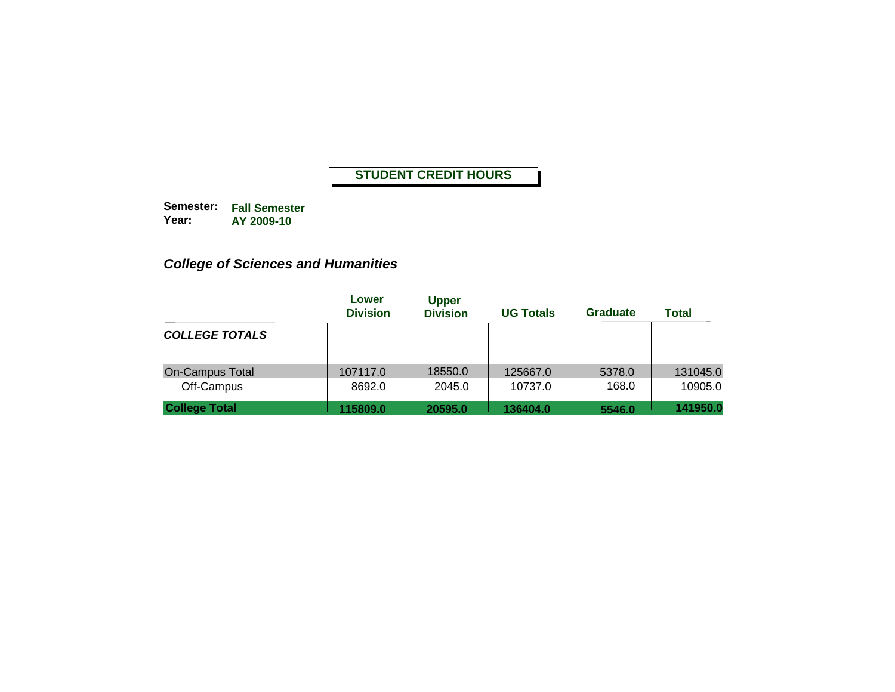**Semester: Fall Semester Year: AY 2009-10**

# *College of Sciences and Humanities*

|                        | Lower<br><b>Division</b> | <b>Upper</b><br><b>Division</b> | <b>UG Totals</b> | Graduate | <b>Total</b> |
|------------------------|--------------------------|---------------------------------|------------------|----------|--------------|
| <b>COLLEGE TOTALS</b>  |                          |                                 |                  |          |              |
| <b>On-Campus Total</b> | 107117.0                 | 18550.0                         | 125667.0         | 5378.0   | 131045.0     |
| Off-Campus             | 8692.0                   | 2045.0                          | 10737.0          | 168.0    | 10905.0      |
| <b>College Total</b>   | 115809.0                 | 20595.0                         | 136404.0         | 5546.0   | 141950.0     |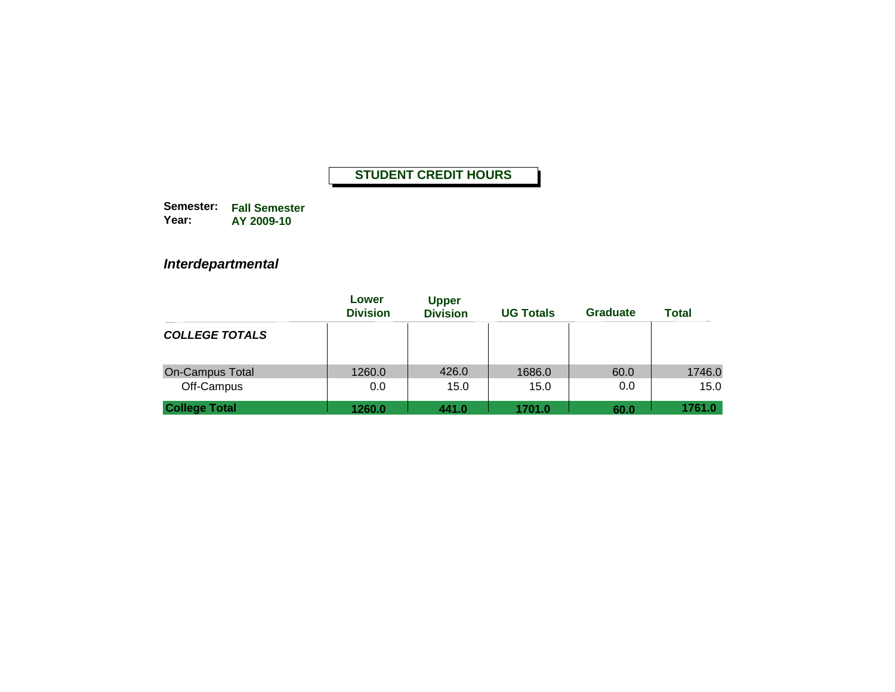**Semester: Fall Semester Year: AY 2009-10**

## *Interdepartmental*

|                        | Lower<br><b>Division</b> | <b>Upper</b><br><b>Division</b> | <b>UG Totals</b> | <b>Graduate</b> | <b>Total</b> |
|------------------------|--------------------------|---------------------------------|------------------|-----------------|--------------|
| <b>COLLEGE TOTALS</b>  |                          |                                 |                  |                 |              |
| <b>On-Campus Total</b> | 1260.0                   | 426.0                           | 1686.0           | 60.0            | 1746.0       |
| Off-Campus             | 0.0                      | 15.0                            | 15.0             | 0.0             | 15.0         |
| <b>College Total</b>   | 1260.0                   | 441.0                           | 1701.0           | 60.0            | 1761.0       |